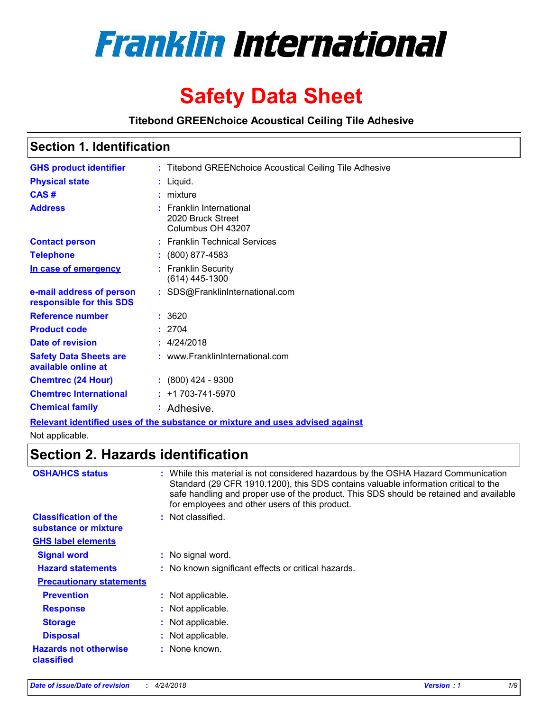

# **Safety Data Sheet**

#### **Titebond GREENchoice Acoustical Ceiling Tile Adhesive**

|  | <b>Section 1. Identification</b> |  |
|--|----------------------------------|--|
|--|----------------------------------|--|

| <b>GHS product identifier</b>                        | : Titebond GREENchoice Acoustical Ceiling Tile Adhesive                       |
|------------------------------------------------------|-------------------------------------------------------------------------------|
| <b>Physical state</b>                                | $:$ Liquid.                                                                   |
| CAS#                                                 | $:$ mixture                                                                   |
| <b>Address</b>                                       | $:$ Franklin International<br>2020 Bruck Street<br>Columbus OH 43207          |
| <b>Contact person</b>                                | : Franklin Technical Services                                                 |
| <b>Telephone</b>                                     | $: (800) 877-4583$                                                            |
| In case of emergency                                 | : Franklin Security<br>(614) 445-1300                                         |
| e-mail address of person<br>responsible for this SDS | : SDS@FranklinInternational.com                                               |
| <b>Reference number</b>                              | : 3620                                                                        |
| <b>Product code</b>                                  | : 2704                                                                        |
| Date of revision                                     | : 4/24/2018                                                                   |
| <b>Safety Data Sheets are</b><br>available online at | : www.FranklinInternational.com                                               |
| <b>Chemtrec (24 Hour)</b>                            | $: (800)$ 424 - 9300                                                          |
| <b>Chemtrec International</b>                        | $: +1703 - 741 - 5970$                                                        |
| <b>Chemical family</b>                               | : Adhesive.                                                                   |
|                                                      | Relevant identified uses of the substance or mixture and uses advised against |

Not applicable.

### **Section 2. Hazards identification**

| <b>OSHA/HCS status</b>                               | : While this material is not considered hazardous by the OSHA Hazard Communication<br>Standard (29 CFR 1910.1200), this SDS contains valuable information critical to the<br>safe handling and proper use of the product. This SDS should be retained and available<br>for employees and other users of this product. |
|------------------------------------------------------|-----------------------------------------------------------------------------------------------------------------------------------------------------------------------------------------------------------------------------------------------------------------------------------------------------------------------|
| <b>Classification of the</b><br>substance or mixture | : Not classified.                                                                                                                                                                                                                                                                                                     |
| <b>GHS label elements</b>                            |                                                                                                                                                                                                                                                                                                                       |
| <b>Signal word</b>                                   | : No signal word.                                                                                                                                                                                                                                                                                                     |
| <b>Hazard statements</b>                             | : No known significant effects or critical hazards.                                                                                                                                                                                                                                                                   |
| <b>Precautionary statements</b>                      |                                                                                                                                                                                                                                                                                                                       |
| <b>Prevention</b>                                    | : Not applicable.                                                                                                                                                                                                                                                                                                     |
| <b>Response</b>                                      | : Not applicable.                                                                                                                                                                                                                                                                                                     |
| <b>Storage</b>                                       | : Not applicable.                                                                                                                                                                                                                                                                                                     |
| <b>Disposal</b>                                      | : Not applicable.                                                                                                                                                                                                                                                                                                     |
| <b>Hazards not otherwise</b><br>classified           | : None known.                                                                                                                                                                                                                                                                                                         |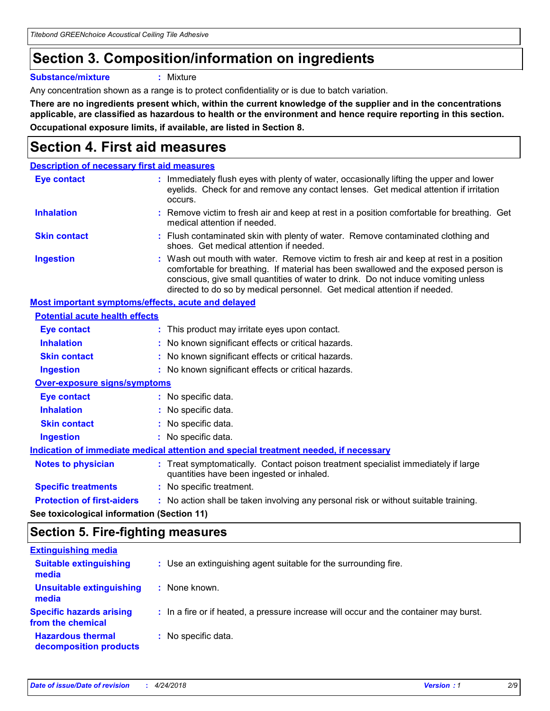### **Section 3. Composition/information on ingredients**

**Substance/mixture :** Mixture

Any concentration shown as a range is to protect confidentiality or is due to batch variation.

**There are no ingredients present which, within the current knowledge of the supplier and in the concentrations applicable, are classified as hazardous to health or the environment and hence require reporting in this section. Occupational exposure limits, if available, are listed in Section 8.**

### **Section 4. First aid measures**

| <b>Description of necessary first aid measures</b> |                                                                                                                                                                                                                                                                                                                                                |
|----------------------------------------------------|------------------------------------------------------------------------------------------------------------------------------------------------------------------------------------------------------------------------------------------------------------------------------------------------------------------------------------------------|
| <b>Eye contact</b>                                 | Immediately flush eyes with plenty of water, occasionally lifting the upper and lower<br>eyelids. Check for and remove any contact lenses. Get medical attention if irritation<br>occurs.                                                                                                                                                      |
| <b>Inhalation</b>                                  | : Remove victim to fresh air and keep at rest in a position comfortable for breathing. Get<br>medical attention if needed.                                                                                                                                                                                                                     |
| <b>Skin contact</b>                                | : Flush contaminated skin with plenty of water. Remove contaminated clothing and<br>shoes. Get medical attention if needed.                                                                                                                                                                                                                    |
| <b>Ingestion</b>                                   | : Wash out mouth with water. Remove victim to fresh air and keep at rest in a position<br>comfortable for breathing. If material has been swallowed and the exposed person is<br>conscious, give small quantities of water to drink. Do not induce vomiting unless<br>directed to do so by medical personnel. Get medical attention if needed. |
| Most important symptoms/effects, acute and delayed |                                                                                                                                                                                                                                                                                                                                                |
| <b>Potential acute health effects</b>              |                                                                                                                                                                                                                                                                                                                                                |
| <b>Eye contact</b>                                 | : This product may irritate eyes upon contact.                                                                                                                                                                                                                                                                                                 |
| <b>Inhalation</b>                                  | : No known significant effects or critical hazards.                                                                                                                                                                                                                                                                                            |
| <b>Skin contact</b>                                | : No known significant effects or critical hazards.                                                                                                                                                                                                                                                                                            |
| <b>Ingestion</b>                                   | : No known significant effects or critical hazards.                                                                                                                                                                                                                                                                                            |
| <b>Over-exposure signs/symptoms</b>                |                                                                                                                                                                                                                                                                                                                                                |
| <b>Eye contact</b>                                 | : No specific data.                                                                                                                                                                                                                                                                                                                            |
| <b>Inhalation</b>                                  | : No specific data.                                                                                                                                                                                                                                                                                                                            |
| <b>Skin contact</b>                                | : No specific data.                                                                                                                                                                                                                                                                                                                            |
| <b>Ingestion</b>                                   | : No specific data.                                                                                                                                                                                                                                                                                                                            |
|                                                    | Indication of immediate medical attention and special treatment needed, if necessary                                                                                                                                                                                                                                                           |
| <b>Notes to physician</b>                          | : Treat symptomatically. Contact poison treatment specialist immediately if large<br>quantities have been ingested or inhaled.                                                                                                                                                                                                                 |
| <b>Specific treatments</b>                         | : No specific treatment.                                                                                                                                                                                                                                                                                                                       |
| <b>Protection of first-aiders</b>                  | : No action shall be taken involving any personal risk or without suitable training.                                                                                                                                                                                                                                                           |
|                                                    |                                                                                                                                                                                                                                                                                                                                                |

**See toxicological information (Section 11)**

### **Section 5. Fire-fighting measures**

| <b>Extinguishing media</b>                           |                                                                                       |
|------------------------------------------------------|---------------------------------------------------------------------------------------|
| <b>Suitable extinguishing</b><br>media               | : Use an extinguishing agent suitable for the surrounding fire.                       |
| Unsuitable extinguishing<br>media                    | : None known.                                                                         |
| <b>Specific hazards arising</b><br>from the chemical | : In a fire or if heated, a pressure increase will occur and the container may burst. |
| <b>Hazardous thermal</b><br>decomposition products   | : No specific data.                                                                   |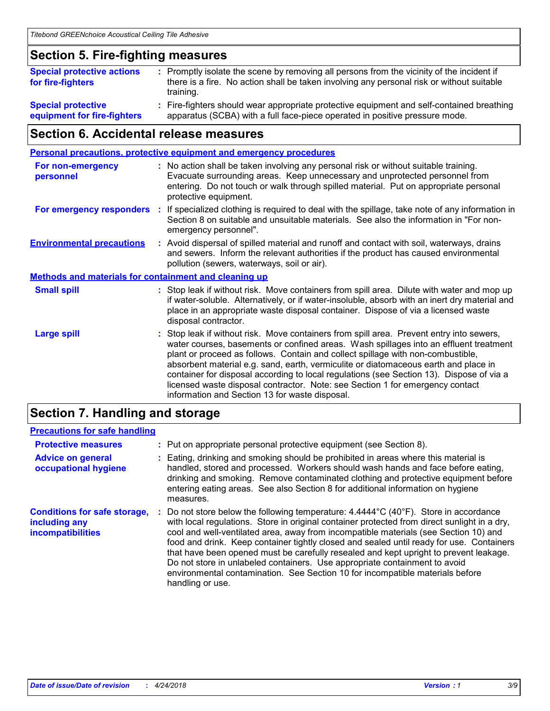### **Section 5. Fire-fighting measures**

| <b>Special protective actions</b><br>for fire-fighters   | : Promptly isolate the scene by removing all persons from the vicinity of the incident if<br>there is a fire. No action shall be taken involving any personal risk or without suitable<br>training. |
|----------------------------------------------------------|-----------------------------------------------------------------------------------------------------------------------------------------------------------------------------------------------------|
| <b>Special protective</b><br>equipment for fire-fighters | : Fire-fighters should wear appropriate protective equipment and self-contained breathing<br>apparatus (SCBA) with a full face-piece operated in positive pressure mode.                            |

### **Section 6. Accidental release measures**

| <b>Personal precautions, protective equipment and emergency procedures</b> |    |                                                                                                                                                                                                                                                                                                                                                                                                                                                                                                                                                                                            |
|----------------------------------------------------------------------------|----|--------------------------------------------------------------------------------------------------------------------------------------------------------------------------------------------------------------------------------------------------------------------------------------------------------------------------------------------------------------------------------------------------------------------------------------------------------------------------------------------------------------------------------------------------------------------------------------------|
| <b>For non-emergency</b><br>personnel                                      |    | : No action shall be taken involving any personal risk or without suitable training.<br>Evacuate surrounding areas. Keep unnecessary and unprotected personnel from<br>entering. Do not touch or walk through spilled material. Put on appropriate personal<br>protective equipment.                                                                                                                                                                                                                                                                                                       |
| For emergency responders                                                   | ÷. | If specialized clothing is required to deal with the spillage, take note of any information in<br>Section 8 on suitable and unsuitable materials. See also the information in "For non-<br>emergency personnel".                                                                                                                                                                                                                                                                                                                                                                           |
| <b>Environmental precautions</b>                                           |    | : Avoid dispersal of spilled material and runoff and contact with soil, waterways, drains<br>and sewers. Inform the relevant authorities if the product has caused environmental<br>pollution (sewers, waterways, soil or air).                                                                                                                                                                                                                                                                                                                                                            |
| <b>Methods and materials for containment and cleaning up</b>               |    |                                                                                                                                                                                                                                                                                                                                                                                                                                                                                                                                                                                            |
| <b>Small spill</b>                                                         |    | : Stop leak if without risk. Move containers from spill area. Dilute with water and mop up<br>if water-soluble. Alternatively, or if water-insoluble, absorb with an inert dry material and<br>place in an appropriate waste disposal container. Dispose of via a licensed waste<br>disposal contractor.                                                                                                                                                                                                                                                                                   |
| <b>Large spill</b>                                                         |    | : Stop leak if without risk. Move containers from spill area. Prevent entry into sewers,<br>water courses, basements or confined areas. Wash spillages into an effluent treatment<br>plant or proceed as follows. Contain and collect spillage with non-combustible,<br>absorbent material e.g. sand, earth, vermiculite or diatomaceous earth and place in<br>container for disposal according to local regulations (see Section 13). Dispose of via a<br>licensed waste disposal contractor. Note: see Section 1 for emergency contact<br>information and Section 13 for waste disposal. |
|                                                                            |    |                                                                                                                                                                                                                                                                                                                                                                                                                                                                                                                                                                                            |

### **Section 7. Handling and storage**

#### **Precautions for safe handling**

| <b>Protective measures</b>                                                       | : Put on appropriate personal protective equipment (see Section 8).                                                                                                                                                                                                                                                                                                                                                                                                                                                                                                                                                                                                |
|----------------------------------------------------------------------------------|--------------------------------------------------------------------------------------------------------------------------------------------------------------------------------------------------------------------------------------------------------------------------------------------------------------------------------------------------------------------------------------------------------------------------------------------------------------------------------------------------------------------------------------------------------------------------------------------------------------------------------------------------------------------|
| <b>Advice on general</b><br>occupational hygiene                                 | Eating, drinking and smoking should be prohibited in areas where this material is<br>handled, stored and processed. Workers should wash hands and face before eating,<br>drinking and smoking. Remove contaminated clothing and protective equipment before<br>entering eating areas. See also Section 8 for additional information on hygiene<br>measures.                                                                                                                                                                                                                                                                                                        |
| <b>Conditions for safe storage,</b><br>including any<br><b>incompatibilities</b> | Do not store below the following temperature: $4.4444^{\circ}C(40^{\circ}F)$ . Store in accordance<br>with local regulations. Store in original container protected from direct sunlight in a dry,<br>cool and well-ventilated area, away from incompatible materials (see Section 10) and<br>food and drink. Keep container tightly closed and sealed until ready for use. Containers<br>that have been opened must be carefully resealed and kept upright to prevent leakage.<br>Do not store in unlabeled containers. Use appropriate containment to avoid<br>environmental contamination. See Section 10 for incompatible materials before<br>handling or use. |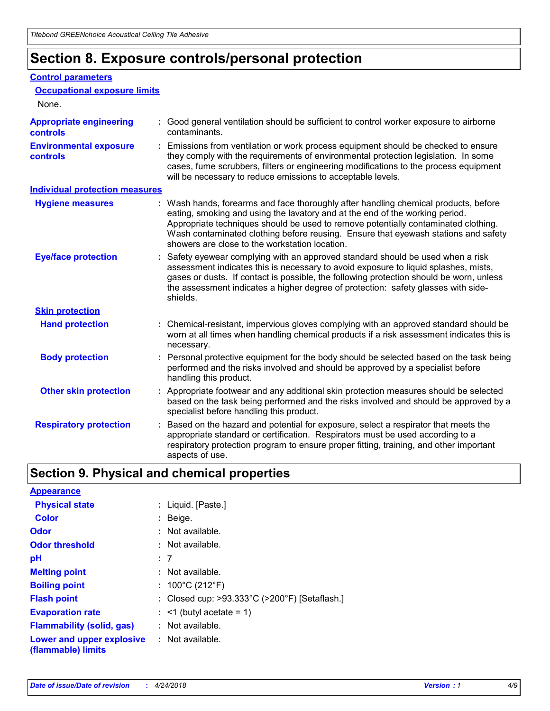### **Section 8. Exposure controls/personal protection**

#### **Control parameters**

| <b>Occupational exposure limits</b>               |                                                                                                                                                                                                                                                                                                                                                                                                   |
|---------------------------------------------------|---------------------------------------------------------------------------------------------------------------------------------------------------------------------------------------------------------------------------------------------------------------------------------------------------------------------------------------------------------------------------------------------------|
| None.                                             |                                                                                                                                                                                                                                                                                                                                                                                                   |
| <b>Appropriate engineering</b><br><b>controls</b> | : Good general ventilation should be sufficient to control worker exposure to airborne<br>contaminants.                                                                                                                                                                                                                                                                                           |
| <b>Environmental exposure</b><br><b>controls</b>  | : Emissions from ventilation or work process equipment should be checked to ensure<br>they comply with the requirements of environmental protection legislation. In some<br>cases, fume scrubbers, filters or engineering modifications to the process equipment<br>will be necessary to reduce emissions to acceptable levels.                                                                   |
| <b>Individual protection measures</b>             |                                                                                                                                                                                                                                                                                                                                                                                                   |
| <b>Hygiene measures</b>                           | : Wash hands, forearms and face thoroughly after handling chemical products, before<br>eating, smoking and using the lavatory and at the end of the working period.<br>Appropriate techniques should be used to remove potentially contaminated clothing.<br>Wash contaminated clothing before reusing. Ensure that eyewash stations and safety<br>showers are close to the workstation location. |
| <b>Eye/face protection</b>                        | : Safety eyewear complying with an approved standard should be used when a risk<br>assessment indicates this is necessary to avoid exposure to liquid splashes, mists,<br>gases or dusts. If contact is possible, the following protection should be worn, unless<br>the assessment indicates a higher degree of protection: safety glasses with side-<br>shields.                                |
| <b>Skin protection</b>                            |                                                                                                                                                                                                                                                                                                                                                                                                   |
| <b>Hand protection</b>                            | : Chemical-resistant, impervious gloves complying with an approved standard should be<br>worn at all times when handling chemical products if a risk assessment indicates this is<br>necessary.                                                                                                                                                                                                   |
| <b>Body protection</b>                            | : Personal protective equipment for the body should be selected based on the task being<br>performed and the risks involved and should be approved by a specialist before<br>handling this product.                                                                                                                                                                                               |
| <b>Other skin protection</b>                      | : Appropriate footwear and any additional skin protection measures should be selected<br>based on the task being performed and the risks involved and should be approved by a<br>specialist before handling this product.                                                                                                                                                                         |
| <b>Respiratory protection</b>                     | Based on the hazard and potential for exposure, select a respirator that meets the<br>appropriate standard or certification. Respirators must be used according to a<br>respiratory protection program to ensure proper fitting, training, and other important<br>aspects of use.                                                                                                                 |

### **Section 9. Physical and chemical properties**

| <b>Appearance</b>                                                       |                                                                    |
|-------------------------------------------------------------------------|--------------------------------------------------------------------|
| <b>Physical state</b>                                                   | : Liquid. [Paste.]                                                 |
| <b>Color</b>                                                            | $:$ Beige.                                                         |
| <b>Odor</b>                                                             | $:$ Not available.                                                 |
| <b>Odor threshold</b>                                                   | $:$ Not available.                                                 |
| рH                                                                      | :7                                                                 |
| <b>Melting point</b>                                                    | $:$ Not available.                                                 |
| <b>Boiling point</b>                                                    | : $100^{\circ}$ C (212 $^{\circ}$ F)                               |
| <b>Flash point</b>                                                      | : Closed cup: $>93.333^{\circ}$ C ( $>200^{\circ}$ F) [Setaflash.] |
| <b>Evaporation rate</b>                                                 | $:$ <1 (butyl acetate = 1)                                         |
| <b>Flammability (solid, gas)</b>                                        | $:$ Not available.                                                 |
| <b>Lower and upper explosive : Not available.</b><br>(flammable) limits |                                                                    |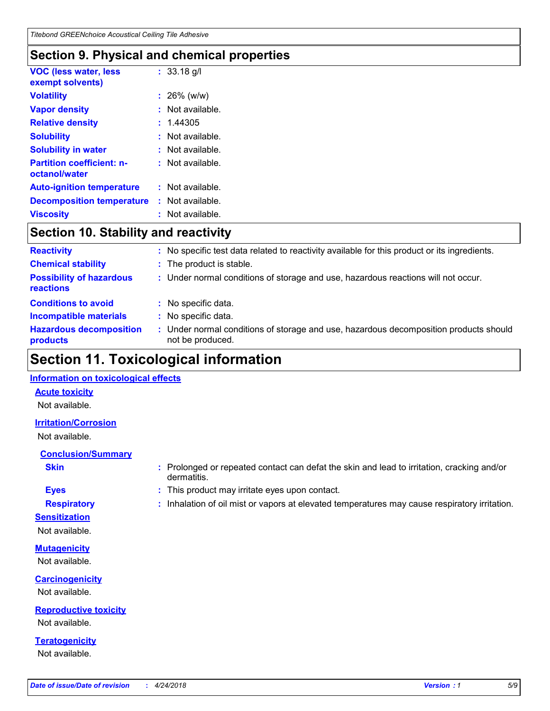### **Section 9. Physical and chemical properties**

| <b>VOC (less water, less</b><br>exempt solvents)  |    | $: 33.18$ g/l      |
|---------------------------------------------------|----|--------------------|
| <b>Volatility</b>                                 |    | $: 26\%$ (w/w)     |
| <b>Vapor density</b>                              |    | Not available.     |
| <b>Relative density</b>                           |    | : 1.44305          |
| <b>Solubility</b>                                 |    | Not available.     |
| <b>Solubility in water</b>                        |    | Not available.     |
| <b>Partition coefficient: n-</b><br>octanol/water |    | $:$ Not available. |
| <b>Auto-ignition temperature</b>                  | t. | Not available.     |
| <b>Decomposition temperature</b>                  | t. | Not available.     |
| <b>Viscosity</b>                                  |    | Not available.     |

### **Section 10. Stability and reactivity**

| <b>Reactivity</b>                            | ÷. | No specific test data related to reactivity available for this product or its ingredients.                |
|----------------------------------------------|----|-----------------------------------------------------------------------------------------------------------|
| <b>Chemical stability</b>                    |    | : The product is stable.                                                                                  |
| <b>Possibility of hazardous</b><br>reactions |    | : Under normal conditions of storage and use, hazardous reactions will not occur.                         |
| <b>Conditions to avoid</b>                   | ÷. | No specific data.                                                                                         |
| <b>Incompatible materials</b>                |    | No specific data.                                                                                         |
| <b>Hazardous decomposition</b><br>products   |    | : Under normal conditions of storage and use, hazardous decomposition products should<br>not be produced. |

### **Section 11. Toxicological information**

#### **Information on toxicological effects**

#### **Acute toxicity**

Not available.

#### **Irritation/Corrosion**

Not available.

#### **Conclusion/Summary**

- 
- **Sensitization**

Not available.

**Mutagenicity** Not available.

**Carcinogenicity** Not available.

**Reproductive toxicity** Not available.

**Teratogenicity** Not available.

- **Skin Example 3 :** Prolonged or repeated contact can defat the skin and lead to irritation, cracking and/or dermatitis.
- **Eyes :** This product may irritate eyes upon contact.
- **Respiratory :** Inhalation of oil mist or vapors at elevated temperatures may cause respiratory irritation.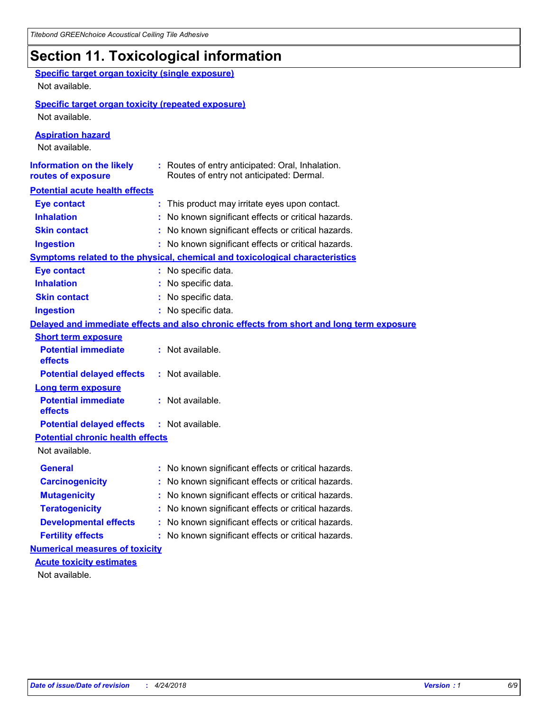## **Section 11. Toxicological information**

| <b>Specific target organ toxicity (single exposure)</b><br>Not available. |                                                                                              |
|---------------------------------------------------------------------------|----------------------------------------------------------------------------------------------|
| <b>Specific target organ toxicity (repeated exposure)</b>                 |                                                                                              |
| Not available.                                                            |                                                                                              |
| <b>Aspiration hazard</b><br>Not available.                                |                                                                                              |
| <b>Information on the likely</b><br>routes of exposure                    | : Routes of entry anticipated: Oral, Inhalation.<br>Routes of entry not anticipated: Dermal. |
| <b>Potential acute health effects</b>                                     |                                                                                              |
| <b>Eye contact</b>                                                        | : This product may irritate eyes upon contact.                                               |
| <b>Inhalation</b>                                                         | : No known significant effects or critical hazards.                                          |
| <b>Skin contact</b>                                                       | : No known significant effects or critical hazards.                                          |
| <b>Ingestion</b>                                                          | : No known significant effects or critical hazards.                                          |
|                                                                           | Symptoms related to the physical, chemical and toxicological characteristics                 |
| <b>Eye contact</b>                                                        | : No specific data.                                                                          |
| <b>Inhalation</b>                                                         | : No specific data.                                                                          |
| <b>Skin contact</b>                                                       | : No specific data.                                                                          |
| <b>Ingestion</b>                                                          | : No specific data.                                                                          |
|                                                                           | Delayed and immediate effects and also chronic effects from short and long term exposure     |
| <b>Short term exposure</b>                                                |                                                                                              |
| <b>Potential immediate</b><br>effects                                     | : Not available.                                                                             |
| <b>Potential delayed effects</b>                                          | : Not available.                                                                             |
| <b>Long term exposure</b>                                                 |                                                                                              |
| <b>Potential immediate</b><br>effects                                     | : Not available.                                                                             |
| <b>Potential delayed effects</b>                                          | : Not available.                                                                             |
| <b>Potential chronic health effects</b>                                   |                                                                                              |
| Not available.                                                            |                                                                                              |
| <b>General</b>                                                            | : No known significant effects or critical hazards.                                          |
| <b>Carcinogenicity</b>                                                    | : No known significant effects or critical hazards.                                          |
| <b>Mutagenicity</b>                                                       | No known significant effects or critical hazards.                                            |
| <b>Teratogenicity</b>                                                     | No known significant effects or critical hazards.                                            |
| <b>Developmental effects</b>                                              | No known significant effects or critical hazards.                                            |
| <b>Fertility effects</b>                                                  | : No known significant effects or critical hazards.                                          |
| <b>Numerical measures of toxicity</b>                                     |                                                                                              |
| <b>Acute toxicity estimates</b>                                           |                                                                                              |
| Not available.                                                            |                                                                                              |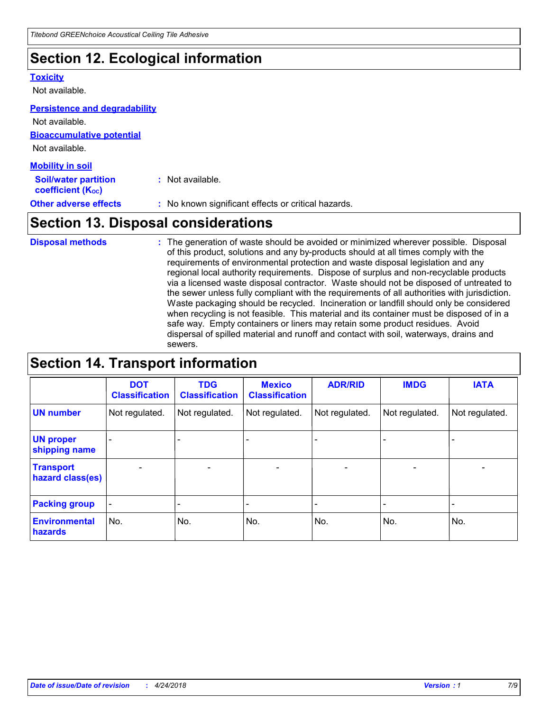### **Section 12. Ecological information**

#### **Toxicity**

Not available.

#### **Persistence and degradability**

**Bioaccumulative potential** Not available. **Mobility in soil** Not available.

| <b>Soil/water partition</b><br>coefficient (K <sub>oc</sub> ) | : Not available.                                    |
|---------------------------------------------------------------|-----------------------------------------------------|
| <b>Other adverse effects</b>                                  | : No known significant effects or critical hazards. |

### **Section 13. Disposal considerations**

The generation of waste should be avoided or minimized wherever possible. Disposal of this product, solutions and any by-products should at all times comply with the requirements of environmental protection and waste disposal legislation and any regional local authority requirements. Dispose of surplus and non-recyclable products via a licensed waste disposal contractor. Waste should not be disposed of untreated to the sewer unless fully compliant with the requirements of all authorities with jurisdiction. Waste packaging should be recycled. Incineration or landfill should only be considered when recycling is not feasible. This material and its container must be disposed of in a safe way. Empty containers or liners may retain some product residues. Avoid dispersal of spilled material and runoff and contact with soil, waterways, drains and sewers. **Disposal methods :**

### **Section 14. Transport information**

|                                      | <b>DOT</b><br><b>Classification</b> | <b>TDG</b><br><b>Classification</b> | <b>Mexico</b><br><b>Classification</b> | <b>ADR/RID</b>               | <b>IMDG</b>              | <b>IATA</b>    |
|--------------------------------------|-------------------------------------|-------------------------------------|----------------------------------------|------------------------------|--------------------------|----------------|
| <b>UN number</b>                     | Not regulated.                      | Not regulated.                      | Not regulated.                         | Not regulated.               | Not regulated.           | Not regulated. |
| <b>UN proper</b><br>shipping name    |                                     |                                     |                                        |                              |                          |                |
| <b>Transport</b><br>hazard class(es) | $\overline{\phantom{0}}$            | $\overline{\phantom{0}}$            | $\overline{\phantom{0}}$               | $\qquad \qquad \blacksquare$ | $\overline{\phantom{0}}$ | $\blacksquare$ |
| <b>Packing group</b>                 | -                                   |                                     |                                        |                              |                          |                |
| <b>Environmental</b><br>hazards      | No.                                 | No.                                 | No.                                    | No.                          | No.                      | No.            |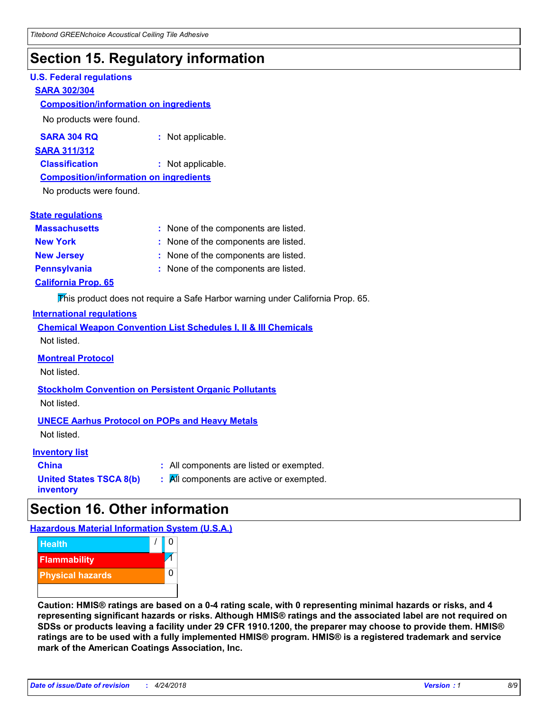### **Section 15. Regulatory information**

#### **U.S. Federal regulations**

#### **SARA 302/304**

#### **Composition/information on ingredients**

No products were found.

| SARA 304 RQ | : Not applicable. |
|-------------|-------------------|
|-------------|-------------------|

#### **SARA 311/312**

**Classification :** Not applicable.

#### **Composition/information on ingredients**

No products were found.

#### **State regulations**

| <b>Massachusetts</b>       | : None of the components are listed. |
|----------------------------|--------------------------------------|
| <b>New York</b>            | : None of the components are listed. |
| <b>New Jersey</b>          | : None of the components are listed. |
| <b>Pennsylvania</b>        | : None of the components are listed. |
| <b>California Prop. 65</b> |                                      |

This product does not require a Safe Harbor warning under California Prop. 65.

#### **International regulations**

|             |  |  | <b>Chemical Weapon Convention List Schedules I, II &amp; III Chemicals</b> |  |
|-------------|--|--|----------------------------------------------------------------------------|--|
| Not listed. |  |  |                                                                            |  |

#### **Montreal Protocol**

Not listed.

### **Stockholm Convention on Persistent Organic Pollutants**

Not listed.

#### **UNECE Aarhus Protocol on POPs and Heavy Metals**

Not listed.

#### **Inventory list**

| <b>China</b>            |  |
|-------------------------|--|
| United States TSCA 8(b) |  |
| inventory               |  |

**:** All components are listed or exempted. **:** All components are active or exempted.

### **Section 16. Other information**

**Hazardous Material Information System (U.S.A.)**



**Caution: HMIS® ratings are based on a 0-4 rating scale, with 0 representing minimal hazards or risks, and 4 representing significant hazards or risks. Although HMIS® ratings and the associated label are not required on SDSs or products leaving a facility under 29 CFR 1910.1200, the preparer may choose to provide them. HMIS® ratings are to be used with a fully implemented HMIS® program. HMIS® is a registered trademark and service mark of the American Coatings Association, Inc.**